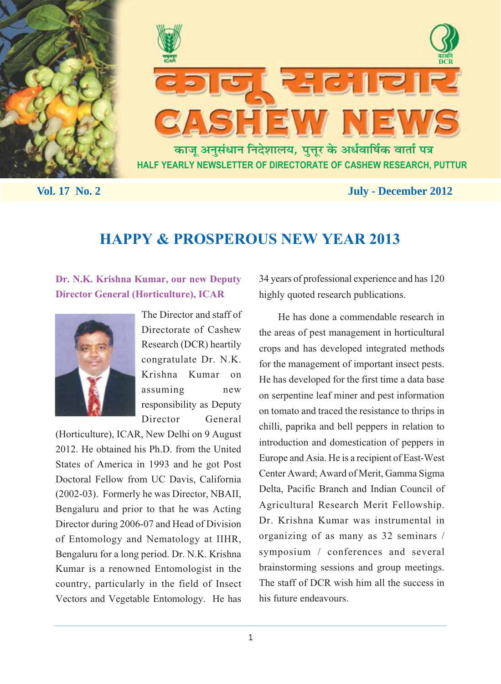



 **Vol. 17 No. 2** July - December 2012

# **HAPPY & PROSPEROUS NEW YEAR 2013**

# **Dr. N.K. Krishna Kumar, our new Deputy Director General (Horticulture), ICAR**



The Director and staff of Directorate of Cashew Research (DCR) heartily congratulate Dr. N.K. Krishna Kumar on assuming new responsibility as Deputy Director General

(Horticulture), ICAR, New Delhi on 9 August 2012. He obtained his Ph.D. from the United States of America in 1993 and he got Post Doctoral Fellow from UC Davis, California (2002-03). Formerly he was Director, NBAII, Bengaluru and prior to that he was Acting Director during 2006-07 and Head of Division of Entomology and Nematology at IIHR, Bengaluru for a long period. Dr. N.K. Krishna Kumar is a renowned Entomologist in the country, particularly in the field of Insect Vectors and Vegetable Entomology. He has 34 years of professional experience and has 120 highly quoted research publications.

He has done a commendable research in the areas of pest management in horticultural crops and has developed integrated methods for the management of important insect pests. He has developed for the first time a data base on serpentine leaf miner and pest information on tomato and traced the resistance to thrips in chilli, paprika and bell peppers in relation to introduction and domestication of peppers in Europe and Asia. He is a recipient of East-West Center Award; Award of Merit, Gamma Sigma Delta, Pacific Branch and Indian Council of Agricultural Research Merit Fellowship. Dr. Krishna Kumar was instrumental in organizing of as many as 32 seminars / symposium / conferences and several brainstorming sessions and group meetings. The staff of DCR wish him all the success in his future endeavours.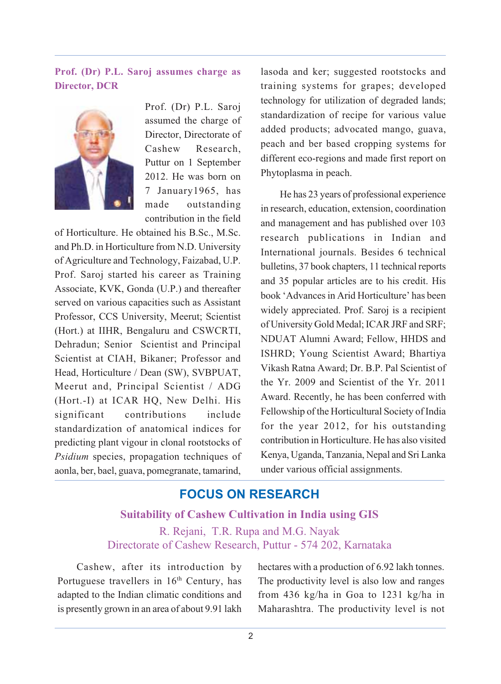# **Prof. (Dr) P.L. Saroj assumes charge as Director, DCR**



Prof. (Dr) P.L. Saroj assumed the charge of Director, Directorate of Cashew Research, Puttur on 1 September 2012. He was born on 7 January1965, has made outstanding contribution in the field

of Horticulture. He obtained his B.Sc., M.Sc. and Ph.D. in Horticulture from N.D. University of Agriculture and Technology, Faizabad, U.P. Prof. Saroj started his career as Training Associate, KVK, Gonda (U.P.) and thereafter served on various capacities such as Assistant Professor, CCS University, Meerut; Scientist (Hort.) at IIHR, Bengaluru and CSWCRTI, Dehradun; Senior Scientist and Principal Scientist at CIAH, Bikaner; Professor and Head, Horticulture / Dean (SW), SVBPUAT, Meerut and, Principal Scientist / ADG (Hort.-I) at ICAR HQ, New Delhi. His significant contributions include standardization of anatomical indices for predicting plant vigour in clonal rootstocks of *Psidium* species, propagation techniques of aonla, ber, bael, guava, pomegranate, tamarind,

lasoda and ker; suggested rootstocks and training systems for grapes; developed technology for utilization of degraded lands; standardization of recipe for various value added products; advocated mango, guava, peach and ber based cropping systems for different eco-regions and made first report on Phytoplasma in peach.

He has 23 years of professional experience in research, education, extension, coordination and management and has published over 103 research publications in Indian and International journals. Besides 6 technical bulletins, 37 book chapters, 11 technical reports and 35 popular articles are to his credit. His book 'Advances in Arid Horticulture' has been widely appreciated. Prof. Saroj is a recipient of University Gold Medal; ICAR JRF and SRF; NDUAT Alumni Award; Fellow, HHDS and ISHRD; Young Scientist Award; Bhartiya Vikash Ratna Award; Dr. B.P. Pal Scientist of the Yr. 2009 and Scientist of the Yr. 2011 Award. Recently, he has been conferred with Fellowship of the Horticultural Society of India for the year 2012, for his outstanding contribution in Horticulture. He has also visited Kenya, Uganda, Tanzania, Nepal and Sri Lanka under various official assignments.

# **FOCUS ON RESEARCH**

**Suitability of Cashew Cultivation in India using GIS** R. Rejani, T.R. Rupa and M.G. Nayak Directorate of Cashew Research, Puttur - 574 202, Karnataka

Cashew, after its introduction by Portuguese travellers in 16<sup>th</sup> Century, has adapted to the Indian climatic conditions and is presently grown in an area of about 9.91 lakh

hectares with a production of 6.92 lakh tonnes. The productivity level is also low and ranges from 436 kg/ha in Goa to 1231 kg/ha in Maharashtra. The productivity level is not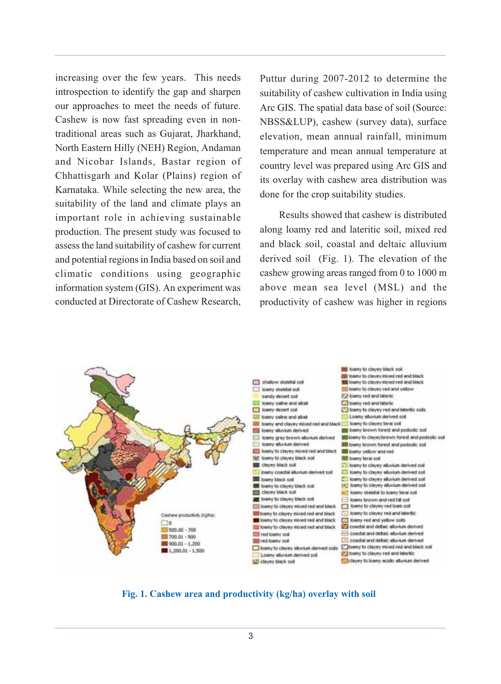increasing over the few years. This needs introspection to identify the gap and sharpen our approaches to meet the needs of future. Cashew is now fast spreading even in nontraditional areas such as Gujarat, Jharkhand, North Eastern Hilly (NEH) Region, Andaman and Nicobar Islands, Bastar region of Chhattisgarh and Kolar (Plains) region of Karnataka. While selecting the new area, the suitability of the land and climate plays an important role in achieving sustainable production. The present study was focused to assess the land suitability of cashew for current and potential regions in India based on soil and climatic conditions using geographic information system (GIS). An experiment was conducted at Directorate of Cashew Research,

Puttur during 2007-2012 to determine the suitability of cashew cultivation in India using Arc GIS. The spatial data base of soil (Source: NBSS&LUP), cashew (survey data), surface elevation, mean annual rainfall, minimum temperature and mean annual temperature at country level was prepared using Arc GIS and its overlay with cashew area distribution was done for the crop suitability studies.

Results showed that cashew is distributed along loamy red and lateritic soil, mixed red and black soil, coastal and deltaic alluvium derived soil (Fig. 1). The elevation of the cashew growing areas ranged from 0 to 1000 m above mean sea level (MSL) and the productivity of cashew was higher in regions



**Fig. 1. Cashew area and productivity (kg/ha) overlay with soil**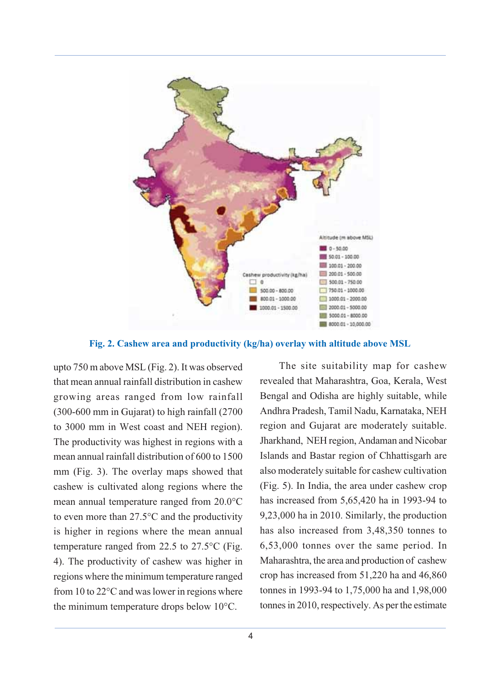

**Fig. 2. Cashew area and productivity (kg/ha) overlay with altitude above MSL**

upto 750 m above MSL (Fig. 2). It was observed that mean annual rainfall distribution in cashew growing areas ranged from low rainfall (300-600 mm in Gujarat) to high rainfall (2700 to 3000 mm in West coast and NEH region). The productivity was highest in regions with a mean annual rainfall distribution of 600 to 1500 mm (Fig. 3). The overlay maps showed that cashew is cultivated along regions where the mean annual temperature ranged from 20.0°C to even more than 27.5°C and the productivity is higher in regions where the mean annual temperature ranged from 22.5 to 27.5°C (Fig. 4). The productivity of cashew was higher in regions where the minimum temperature ranged from 10 to 22°C and was lower in regions where the minimum temperature drops below 10°C.

The site suitability map for cashew revealed that Maharashtra, Goa, Kerala, West Bengal and Odisha are highly suitable, while Andhra Pradesh, Tamil Nadu, Karnataka, NEH region and Gujarat are moderately suitable. Jharkhand, NEH region, Andaman and Nicobar Islands and Bastar region of Chhattisgarh are also moderately suitable for cashew cultivation (Fig. 5). In India, the area under cashew crop has increased from 5,65,420 ha in 1993-94 to 9,23,000 ha in 2010. Similarly, the production has also increased from 3,48,350 tonnes to 6,53,000 tonnes over the same period. In Maharashtra, the area and production of cashew crop has increased from 51,220 ha and 46,860 tonnes in 1993-94 to 1,75,000 ha and 1,98,000 tonnes in 2010, respectively. As per the estimate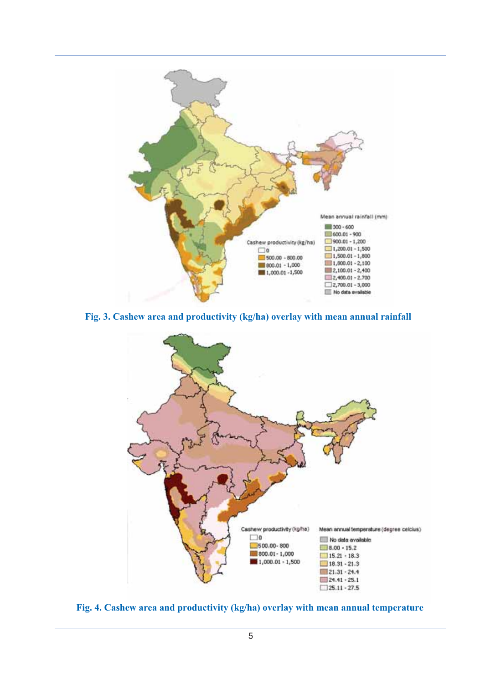

**Fig. 3. Cashew area and productivity (kg/ha) overlay with mean annual rainfall**



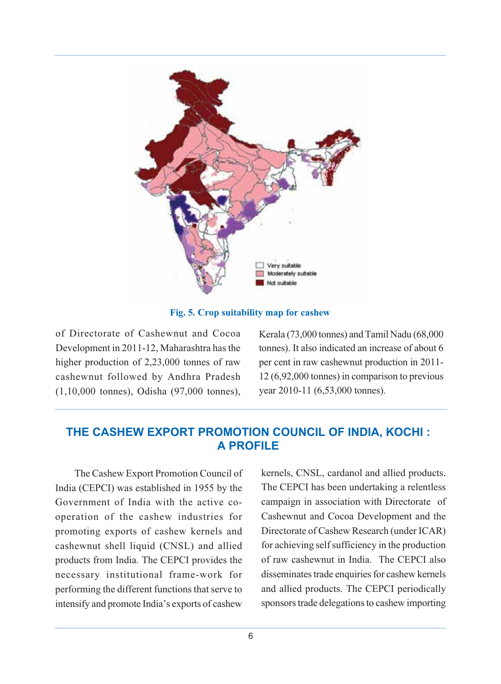

**Fig. 5. Crop suitability map for cashew**

of Directorate of Cashewnut and Cocoa Development in 2011-12, Maharashtra has the higher production of 2,23,000 tonnes of raw cashewnut followed by Andhra Pradesh (1,10,000 tonnes), Odisha (97,000 tonnes), Kerala (73,000 tonnes) and Tamil Nadu (68,000 tonnes). It also indicated an increase of about 6 per cent in raw cashewnut production in 2011- 12 (6,92,000 tonnes) in comparison to previous year 2010-11 (6,53,000 tonnes).

# **THE CASHEW EXPORT PROMOTION COUNCIL OF INDIA, KOCHI : A PROFILE**

The Cashew Export Promotion Council of India (CEPCI) was established in 1955 by the Government of India with the active cooperation of the cashew industries for promoting exports of cashew kernels and cashewnut shell liquid (CNSL) and allied products from India. The CEPCI provides the necessary institutional frame-work for performing the different functions that serve to intensify and promote India's exports of cashew kernels, CNSL, cardanol and allied products. The CEPCI has been undertaking a relentless campaign in association with Directorate of Cashewnut and Cocoa Development and the Directorate of Cashew Research (under ICAR) for achieving self sufficiency in the production of raw cashewnut in India. The CEPCI also disseminates trade enquiries for cashew kernels and allied products. The CEPCI periodically sponsors trade delegations to cashew importing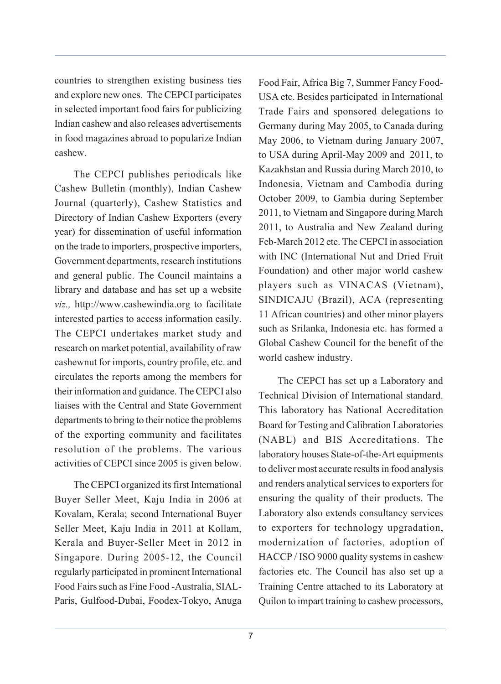countries to strengthen existing business ties and explore new ones. The CEPCI participates in selected important food fairs for publicizing Indian cashew and also releases advertisements in food magazines abroad to popularize Indian cashew.

The CEPCI publishes periodicals like Cashew Bulletin (monthly), Indian Cashew Journal (quarterly), Cashew Statistics and Directory of Indian Cashew Exporters (every year) for dissemination of useful information on the trade to importers, prospective importers, Government departments, research institutions and general public. The Council maintains a library and database and has set up a website *viz.,* http://www.cashewindia.org to facilitate interested parties to access information easily. The CEPCI undertakes market study and research on market potential, availability of raw cashewnut for imports, country profile, etc. and circulates the reports among the members for their information and guidance. The CEPCI also liaises with the Central and State Government departments to bring to their notice the problems of the exporting community and facilitates resolution of the problems. The various activities of CEPCI since 2005 is given below.

The CEPCI organized its first International Buyer Seller Meet, Kaju India in 2006 at Kovalam, Kerala; second International Buyer Seller Meet, Kaju India in 2011 at Kollam, Kerala and Buyer-Seller Meet in 2012 in Singapore. During 2005-12, the Council regularly participated in prominent International Food Fairs such as Fine Food -Australia, SIAL-Paris, Gulfood-Dubai, Foodex-Tokyo, Anuga Food Fair, Africa Big 7, Summer Fancy Food-USA etc. Besides participated in International Trade Fairs and sponsored delegations to Germany during May 2005, to Canada during May 2006, to Vietnam during January 2007, to USA during April-May 2009 and 2011, to Kazakhstan and Russia during March 2010, to Indonesia, Vietnam and Cambodia during October 2009, to Gambia during September 2011, to Vietnam and Singapore during March 2011, to Australia and New Zealand during Feb-March 2012 etc. The CEPCI in association with INC (International Nut and Dried Fruit Foundation) and other major world cashew players such as VINACAS (Vietnam), SINDICAJU (Brazil), ACA (representing 11 African countries) and other minor players such as Srilanka, Indonesia etc. has formed a Global Cashew Council for the benefit of the world cashew industry.

The CEPCI has set up a Laboratory and Technical Division of International standard. This laboratory has National Accreditation Board for Testing and Calibration Laboratories (NABL) and BIS Accreditations. The laboratory houses State-of-the-Art equipments to deliver most accurate results in food analysis and renders analytical services to exporters for ensuring the quality of their products. The Laboratory also extends consultancy services to exporters for technology upgradation, modernization of factories, adoption of HACCP / ISO 9000 quality systems in cashew factories etc. The Council has also set up a Training Centre attached to its Laboratory at Quilon to impart training to cashew processors,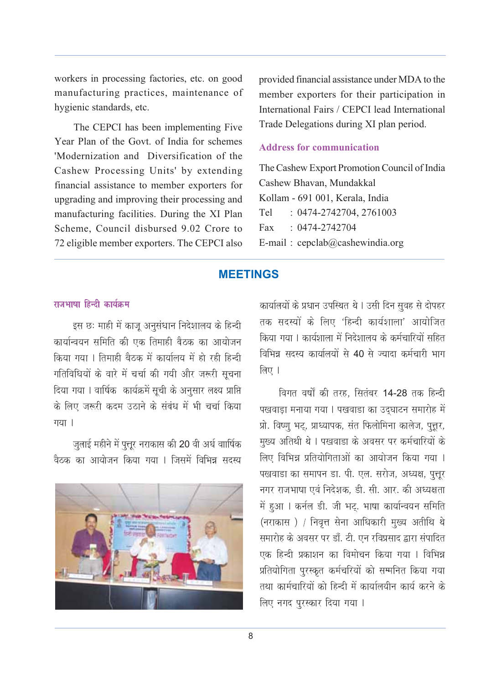workers in processing factories, etc. on good manufacturing practices, maintenance of hygienic standards, etc.

The CEPCI has been implementing Five Year Plan of the Govt. of India for schemes 'Modernization and Diversification of the Cashew Processing Units' by extending financial assistance to member exporters for upgrading and improving their processing and manufacturing facilities. During the XI Plan Scheme, Council disbursed 9.02 Crore to 72 eligible member exporters. The CEPCI also provided financial assistance under MDA to the member exporters for their participation in International Fairs / CEPCI lead International Trade Delegations during XI plan period.

# **Address for communication**

The Cashew Export Promotion Council of India Cashew Bhavan, Mundakkal Kollam - 691 001, Kerala, India Tel : 0474-2742704, 2761003 Fax : 0474-2742704 E-mail : cepclab@cashewindia.org

# **MEETINGS**

# $\pi$ जभाषा दिन्दी कार्यकम

इस छः माही में काजू अनुसंधान निदेशालय के हिन्दी कार्यान्वयन समिति की एक तिमाही बैठक का आयोजन किया गया । तिमाही बैठक में कार्यालय में हो रही हिन्दी गतिविधियों के वारे में चर्चा की गयी और जरूरी सचना दिया गया । वार्षिक कार्यक्रमें सूची के अनुसार लक्ष्य प्राप्ति के लिए जरूरी कदम उठाने के संबंध में भी चर्चा किया गया $|$ 

जलाई महीने में पत्तर नराकास की 20 वी अर्ध वाार्षिक वैठक का आयोजन किया गया । जिसमें विभिन्न सदस्य



कार्यालयों के प्रधान उपस्थित थे। उसी दिन सुवह से दोपहर तक सदस्यों के लिए 'हिन्दी कार्यशाला' आयोजित किया गया । कार्यशाला में निदेशालय के कर्मचारियों सहित विभिन्न सदस्य कार्यालयों से 40 से ज्यादा कर्मचारी भाग  $\overline{m}$  ।

विगत वर्षों की तरह. सितंबर 14-28 तक हिन्दी पखवाड़ा मनाया गया । पखवाडा का उदघाटन समारोह में प्रो. विष्णू भट्, प्राध्यापक, संत फिलोमिना कालेज, पूत्तर, मुख्य अतिथी थे । पखवाडा के अवसर पर कर्मचारियों के लिए विभिन्न प्रतियोगिताओं का आयोजन किया गया । पखवाडा का समापन डा. पी. एल. सरोज, अध्यक्ष, पूत्तूर नगर राजभाषा एवं निदेशक, डी. सी. आर. की अध्यक्षता में हुआ । कर्नल डी. जी भट्. भाषा कार्यान्वयन समिति (नराकास) / निवृत्त सेना आधिकारी मुख्य अतीथि थे समारोह के अवसर पर डाँ. टी. एन रविप्रसाद द्वारा संपादित एक हिन्दी प्रकाशन का विमोचन किया गया । विभिन्न प्रतियोगिता पुरस्कृत कर्मचरियों को सम्मनित किया गया तथा कार्मचारियों को हिन्दी में कार्यालयीन कार्य करने के लिए नगद पुरस्कार दिया गया ।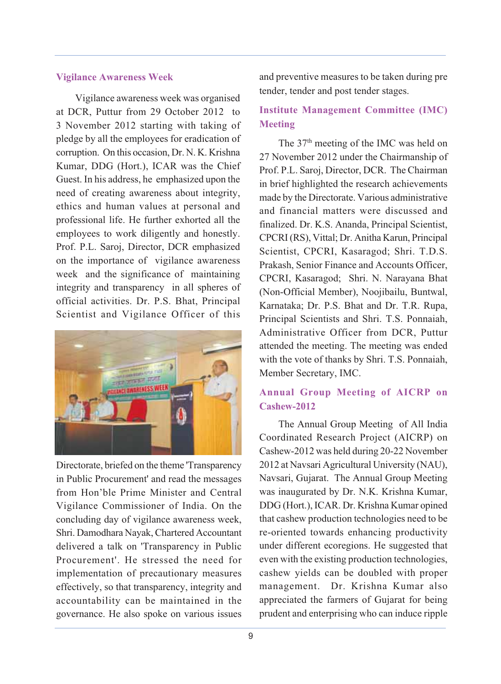#### **Vigilance Awareness Week**

Vigilance awareness week was organised at DCR, Puttur from 29 October 2012 to 3 November 2012 starting with taking of pledge by all the employees for eradication of corruption. On this occasion, Dr. N. K. Krishna Kumar, DDG (Hort.), ICAR was the Chief Guest. In his address, he emphasized upon the need of creating awareness about integrity, ethics and human values at personal and professional life. He further exhorted all the employees to work diligently and honestly. Prof. P.L. Saroj, Director, DCR emphasized on the importance of vigilance awareness week and the significance of maintaining integrity and transparency in all spheres of official activities. Dr. P.S. Bhat, Principal Scientist and Vigilance Officer of this



Directorate, briefed on the theme 'Transparency in Public Procurement' and read the messages from Hon'ble Prime Minister and Central Vigilance Commissioner of India. On the concluding day of vigilance awareness week, Shri. Damodhara Nayak, Chartered Accountant delivered a talk on 'Transparency in Public Procurement'. He stressed the need for implementation of precautionary measures effectively, so that transparency, integrity and accountability can be maintained in the governance. He also spoke on various issues and preventive measures to be taken during pre tender, tender and post tender stages.

# **Institute Management Committee (IMC) Meeting**

The 37<sup>th</sup> meeting of the IMC was held on 27 November 2012 under the Chairmanship of Prof. P.L. Saroj, Director, DCR. The Chairman in brief highlighted the research achievements made by the Directorate. Various administrative and financial matters were discussed and finalized. Dr. K.S. Ananda, Principal Scientist, CPCRI (RS), Vittal; Dr. Anitha Karun, Principal Scientist, CPCRI, Kasaragod; Shri. T.D.S. Prakash, Senior Finance and Accounts Officer, CPCRI, Kasaragod; Shri. N. Narayana Bhat (Non-Official Member), Noojibailu, Buntwal, Karnataka; Dr. P.S. Bhat and Dr. T.R. Rupa, Principal Scientists and Shri. T.S. Ponnaiah, Administrative Officer from DCR, Puttur attended the meeting. The meeting was ended with the vote of thanks by Shri. T.S. Ponnaiah, Member Secretary, IMC.

# **Annual Group Meeting of AICRP on Cashew-2012**

The Annual Group Meeting of All India Coordinated Research Project (AICRP) on Cashew-2012 was held during 20-22 November 2012 at Navsari Agricultural University (NAU), Navsari, Gujarat. The Annual Group Meeting was inaugurated by Dr. N.K. Krishna Kumar, DDG (Hort.), ICAR. Dr. Krishna Kumar opined that cashew production technologies need to be re-oriented towards enhancing productivity under different ecoregions. He suggested that even with the existing production technologies, cashew yields can be doubled with proper management. Dr. Krishna Kumar also appreciated the farmers of Gujarat for being prudent and enterprising who can induce ripple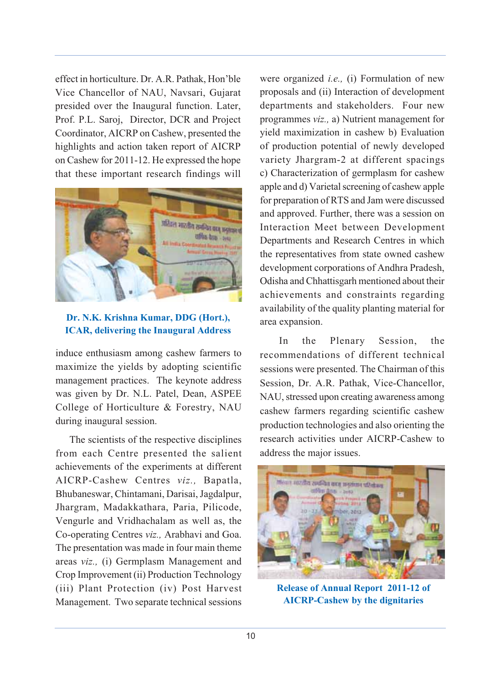effect in horticulture. Dr. A.R. Pathak, Hon'ble Vice Chancellor of NAU, Navsari, Gujarat presided over the Inaugural function. Later, Prof. P.L. Saroj, Director, DCR and Project Coordinator, AICRP on Cashew, presented the highlights and action taken report of AICRP on Cashew for 2011-12. He expressed the hope that these important research findings will



# **Dr. N.K. Krishna Kumar, DDG (Hort.), ICAR, delivering the Inaugural Address**

induce enthusiasm among cashew farmers to maximize the yields by adopting scientific management practices. The keynote address was given by Dr. N.L. Patel, Dean, ASPEE College of Horticulture & Forestry, NAU during inaugural session.

 The scientists of the respective disciplines from each Centre presented the salient achievements of the experiments at different AICRP-Cashew Centres *viz.,* Bapatla, Bhubaneswar, Chintamani, Darisai, Jagdalpur, Jhargram, Madakkathara, Paria, Pilicode, Vengurle and Vridhachalam as well as, the Co-operating Centres *viz.,* Arabhavi and Goa. The presentation was made in four main theme areas *viz.,* (i) Germplasm Management and Crop Improvement (ii) Production Technology (iii) Plant Protection (iv) Post Harvest Management. Two separate technical sessions

were organized *i.e.,* (i) Formulation of new proposals and (ii) Interaction of development departments and stakeholders. Four new programmes *viz.,* a) Nutrient management for yield maximization in cashew b) Evaluation of production potential of newly developed variety Jhargram-2 at different spacings c) Characterization of germplasm for cashew apple and d) Varietal screening of cashew apple for preparation of RTS and Jam were discussed and approved. Further, there was a session on Interaction Meet between Development Departments and Research Centres in which the representatives from state owned cashew development corporations of Andhra Pradesh, Odisha and Chhattisgarh mentioned about their achievements and constraints regarding availability of the quality planting material for area expansion.

In the Plenary Session, the recommendations of different technical sessions were presented. The Chairman of this Session, Dr. A.R. Pathak, Vice-Chancellor, NAU, stressed upon creating awareness among cashew farmers regarding scientific cashew production technologies and also orienting the research activities under AICRP-Cashew to address the major issues.



**Release of Annual Report 2011-12 of AICRP-Cashew by the dignitaries**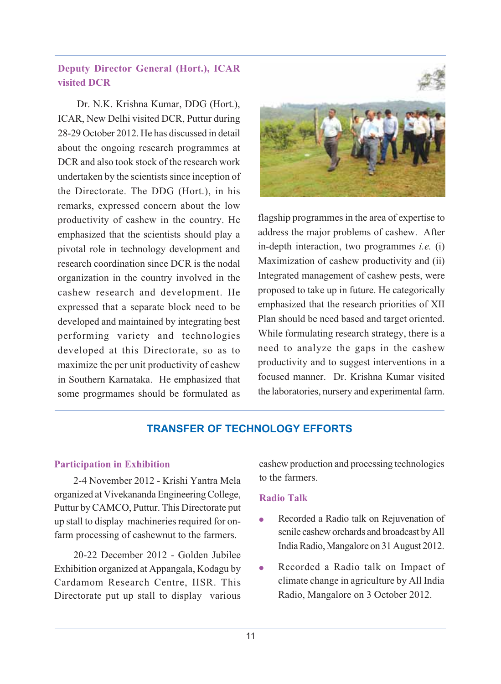# **Deputy Director General (Hort.), ICAR visited DCR**

Dr. N.K. Krishna Kumar, DDG (Hort.), ICAR, New Delhi visited DCR, Puttur during 28-29 October 2012. He has discussed in detail about the ongoing research programmes at DCR and also took stock of the research work undertaken by the scientists since inception of the Directorate. The DDG (Hort.), in his remarks, expressed concern about the low productivity of cashew in the country. He emphasized that the scientists should play a pivotal role in technology development and research coordination since DCR is the nodal organization in the country involved in the cashew research and development. He expressed that a separate block need to be developed and maintained by integrating best performing variety and technologies developed at this Directorate, so as to maximize the per unit productivity of cashew in Southern Karnataka. He emphasized that some progrmames should be formulated as





flagship programmes in the area of expertise to address the major problems of cashew. After in-depth interaction, two programmes *i.e.* (i) Maximization of cashew productivity and (ii) Integrated management of cashew pests, were proposed to take up in future. He categorically emphasized that the research priorities of XII Plan should be need based and target oriented. While formulating research strategy, there is a need to analyze the gaps in the cashew productivity and to suggest interventions in a focused manner. Dr. Krishna Kumar visited the laboratories, nursery and experimental farm.

# **TRANSFER OF TECHNOLOGY EFFORTS**

#### **Participation in Exhibition**

2-4 November 2012 - Krishi Yantra Mela organized at Vivekananda Engineering College, Puttur by CAMCO, Puttur. This Directorate put up stall to display machineries required for onfarm processing of cashewnut to the farmers.

20-22 December 2012 - Golden Jubilee Exhibition organized at Appangala, Kodagu by Cardamom Research Centre, IISR. This Directorate put up stall to display various

cashew production and processing technologies to the farmers.

# **Radio Talk**

- Recorded a Radio talk on Rejuvenation of senile cashew orchards and broadcast by All India Radio, Mangalore on 31 August 2012.
- Recorded a Radio talk on Impact of climate change in agriculture by All India Radio, Mangalore on 3 October 2012.